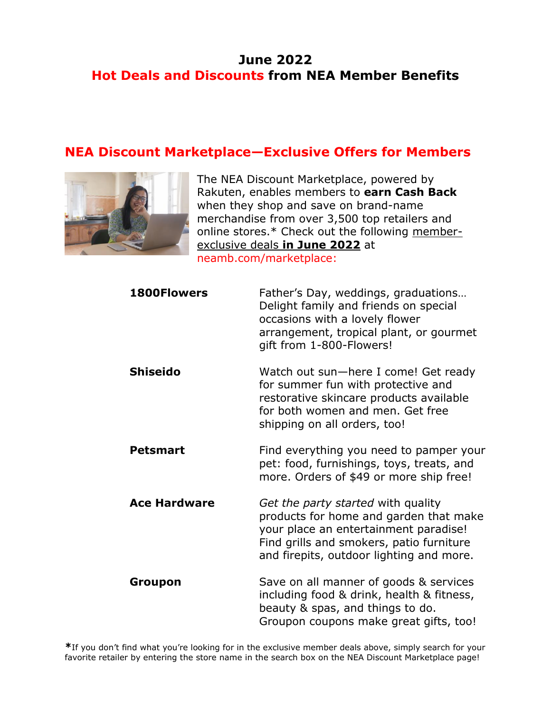## **June 2022 Hot Deals and Discounts from NEA Member Benefits**

#### **NEA Discount Marketplace—Exclusive Offers for Members**



The NEA Discount Marketplace, powered by Rakuten, enables members to **earn Cash Back** when they shop and save on brand-name merchandise from over 3,500 top retailers and online stores.\* Check out the following memberexclusive deals **in June 2022** at [neamb.com/marketplace:](http://www.neamb.com/marketplace)

| <b>1800Flowers</b>  | Father's Day, weddings, graduations<br>Delight family and friends on special<br>occasions with a lovely flower<br>arrangement, tropical plant, or gourmet<br>gift from 1-800-Flowers!                         |
|---------------------|---------------------------------------------------------------------------------------------------------------------------------------------------------------------------------------------------------------|
| <b>Shiseido</b>     | Watch out sun-here I come! Get ready<br>for summer fun with protective and<br>restorative skincare products available<br>for both women and men. Get free<br>shipping on all orders, too!                     |
| <b>Petsmart</b>     | Find everything you need to pamper your<br>pet: food, furnishings, toys, treats, and<br>more. Orders of \$49 or more ship free!                                                                               |
| <b>Ace Hardware</b> | Get the party started with quality<br>products for home and garden that make<br>your place an entertainment paradise!<br>Find grills and smokers, patio furniture<br>and firepits, outdoor lighting and more. |
| Groupon             | Save on all manner of goods & services<br>including food & drink, health & fitness,<br>beauty & spas, and things to do.<br>Groupon coupons make great gifts, too!                                             |

**\***If you don't find what you're looking for in the exclusive member deals above, simply search for your favorite retailer by entering the store name in the search box on the NEA Discount Marketplace page!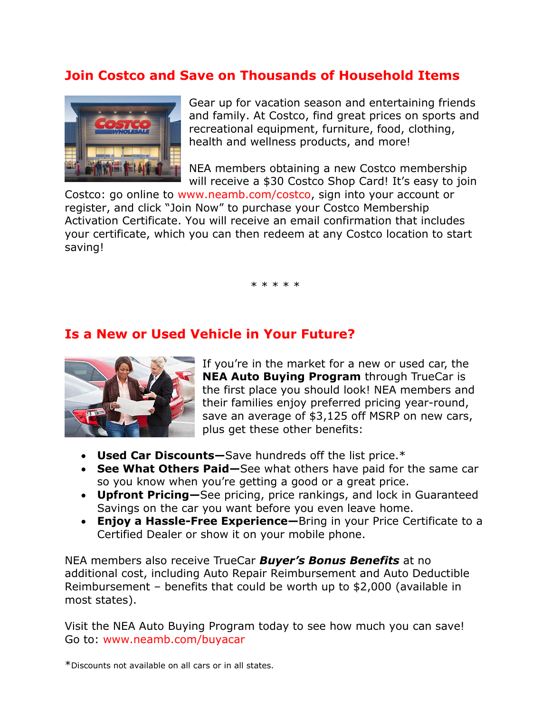## **Join Costco and Save on Thousands of Household Items**



Gear up for vacation season and entertaining friends and family. At Costco, find great prices on sports and recreational equipment, furniture, food, clothing, health and wellness products, and more!

NEA members obtaining a new Costco membership will receive a \$30 Costco Shop Card! It's easy to join

Costco: go online to [www.neamb.com/costco,](http://www.neamb.com/costco) sign into your account or register, and click "Join Now" to purchase your Costco Membership Activation Certificate. You will receive an email confirmation that includes your certificate, which you can then redeem at any Costco location to start saving!

\* \* \* \* \*

#### **Is a New or Used Vehicle in Your Future?**



If you're in the market for a new or used car, the **NEA Auto Buying Program** through TrueCar is the first place you should look! NEA members and their families enjoy preferred pricing year-round, save an average of \$3,125 off MSRP on new cars, plus get these other benefits:

- **Used Car Discounts—**Save hundreds off the list price.\*
- **See What Others Paid—**See what others have paid for the same car so you know when you're getting a good or a great price.
- **Upfront Pricing—**See pricing, price rankings, and lock in Guaranteed Savings on the car you want before you even leave home.
- **Enjoy a Hassle-Free Experience—**Bring in your Price Certificate to a Certified Dealer or show it on your mobile phone.

NEA members also receive TrueCar *Buyer's Bonus Benefits* at no additional cost, including Auto Repair Reimbursement and Auto Deductible Reimbursement – benefits that could be worth up to \$2,000 (available in most states).

Visit the NEA Auto Buying Program today to see how much you can save! Go to: [www.neamb.com/buyacar](http://www.neamb.com/buyacar)

\*Discounts not available on all cars or in all states.